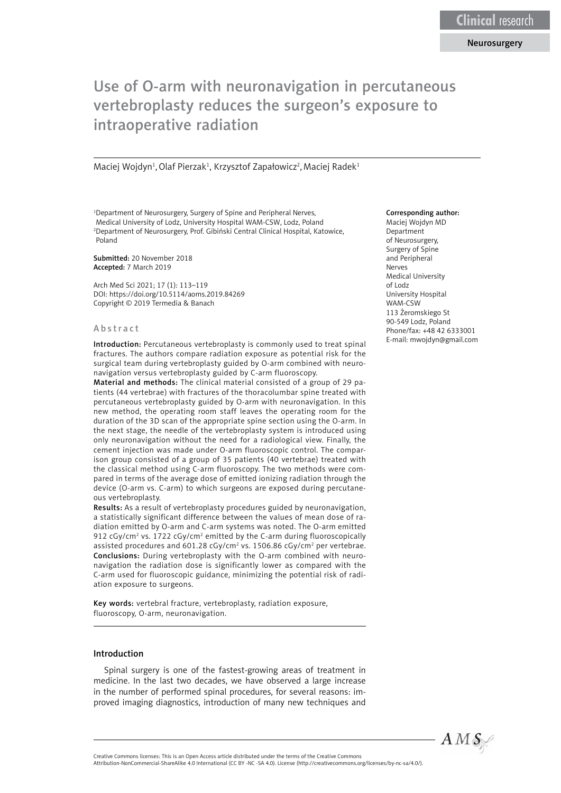# Use of O-arm with neuronavigation in percutaneous vertebroplasty reduces the surgeon's exposure to intraoperative radiation

Maciej Wojdyn<sup>1</sup>, Olaf Pierzak<sup>1</sup>, Krzysztof Zapałowicz<sup>2</sup>, Maciej Radek<sup>1</sup>

<sup>1</sup>Department of Neurosurgery, Surgery of Spine and Peripheral Nerves, Medical University of Lodz, University Hospital WAM-CSW, Lodz, Poland 2 Department of Neurosurgery, Prof. Gibiński Central Clinical Hospital, Katowice, Poland

Submitted: 20 November 2018 Accepted: 7 March 2019

Arch Med Sci 2021; 17 (1): 113–119 DOI: https://doi.org/10.5114/aoms.2019.84269 Copyright © 2019 Termedia & Banach

#### Abstract

Introduction: Percutaneous vertebroplasty is commonly used to treat spinal fractures. The authors compare radiation exposure as potential risk for the surgical team during vertebroplasty guided by O-arm combined with neuronavigation versus vertebroplasty guided by C-arm fluoroscopy.

Material and methods: The clinical material consisted of a group of 29 patients (44 vertebrae) with fractures of the thoracolumbar spine treated with percutaneous vertebroplasty guided by O-arm with neuronavigation. In this new method, the operating room staff leaves the operating room for the duration of the 3D scan of the appropriate spine section using the O-arm. In the next stage, the needle of the vertebroplasty system is introduced using only neuronavigation without the need for a radiological view. Finally, the cement injection was made under O-arm fluoroscopic control. The comparison group consisted of a group of 35 patients (40 vertebrae) treated with the classical method using C-arm fluoroscopy. The two methods were compared in terms of the average dose of emitted ionizing radiation through the device (O-arm vs. C-arm) to which surgeons are exposed during percutaneous vertebroplasty.

Results: As a result of vertebroplasty procedures guided by neuronavigation, a statistically significant difference between the values of mean dose of radiation emitted by O-arm and C-arm systems was noted. The O-arm emitted 912 cGy/cm<sup>2</sup> vs. 1722 cGy/cm<sup>2</sup> emitted by the C-arm during fluoroscopically assisted procedures and 601.28  $cGy/cm<sup>2</sup>$  vs. 1506.86  $cGy/cm<sup>2</sup>$  per vertebrae. Conclusions: During vertebroplasty with the O-arm combined with neuronavigation the radiation dose is significantly lower as compared with the C-arm used for fluoroscopic guidance, minimizing the potential risk of radiation exposure to surgeons.

Key words: vertebral fracture, vertebroplasty, radiation exposure, fluoroscopy, O-arm, neuronavigation.

## Introduction

Spinal surgery is one of the fastest-growing areas of treatment in medicine. In the last two decades, we have observed a large increase in the number of performed spinal procedures, for several reasons: improved imaging diagnostics, introduction of many new techniques and

#### Corresponding author:

Maciej Wojdyn MD Department of Neurosurgery, Surgery of Spine and Peripheral Nerves Medical University of Lodz University Hospital WAM-CSW 113 Żeromskiego St 90-549 Lodz, Poland Phone/fax: +48 42 6333001 E-mail: mwojdyn@gmail.com



Creative Commons licenses: This is an Open Access article distributed under the terms of the Creative Commons

Attribution-NonCommercial-ShareAlike 4.0 International (CC BY -NC -SA 4.0). License (http://creativecommons.org/licenses/by-nc-sa/4.0/).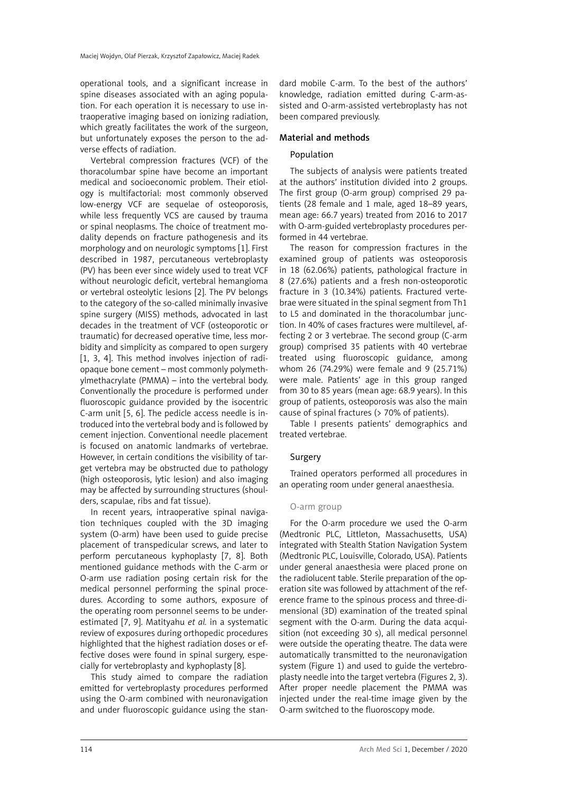operational tools, and a significant increase in spine diseases associated with an aging population. For each operation it is necessary to use intraoperative imaging based on ionizing radiation, which greatly facilitates the work of the surgeon, but unfortunately exposes the person to the adverse effects of radiation.

Vertebral compression fractures (VCF) of the thoracolumbar spine have become an important medical and socioeconomic problem. Their etiology is multifactorial: most commonly observed low-energy VCF are sequelae of osteoporosis, while less frequently VCS are caused by trauma or spinal neoplasms. The choice of treatment modality depends on fracture pathogenesis and its morphology and on neurologic symptoms [1]. First described in 1987, percutaneous vertebroplasty (PV) has been ever since widely used to treat VCF without neurologic deficit, vertebral hemangioma or vertebral osteolytic lesions [2]. The PV belongs to the category of the so-called minimally invasive spine surgery (MISS) methods, advocated in last decades in the treatment of VCF (osteoporotic or traumatic) for decreased operative time, less morbidity and simplicity as compared to open surgery [1, 3, 4]. This method involves injection of radiopaque bone cement – most commonly polymethylmethacrylate (PMMA) – into the vertebral body. Conventionally the procedure is performed under fluoroscopic guidance provided by the isocentric C-arm unit [5, 6]. The pedicle access needle is introduced into the vertebral body and is followed by cement injection. Conventional needle placement is focused on anatomic landmarks of vertebrae. However, in certain conditions the visibility of target vertebra may be obstructed due to pathology (high osteoporosis, lytic lesion) and also imaging may be affected by surrounding structures (shoulders, scapulae, ribs and fat tissue).

In recent years, intraoperative spinal navigation techniques coupled with the 3D imaging system (O-arm) have been used to guide precise placement of transpedicular screws, and later to perform percutaneous kyphoplasty [7, 8]. Both mentioned guidance methods with the C-arm or O-arm use radiation posing certain risk for the medical personnel performing the spinal procedures. According to some authors, exposure of the operating room personnel seems to be underestimated [7, 9]. Matityahu *et al.* in a systematic review of exposures during orthopedic procedures highlighted that the highest radiation doses or effective doses were found in spinal surgery, especially for vertebroplasty and kyphoplasty [8].

This study aimed to compare the radiation emitted for vertebroplasty procedures performed using the O-arm combined with neuronavigation and under fluoroscopic guidance using the standard mobile C-arm. To the best of the authors' knowledge, radiation emitted during C-arm-assisted and O-arm-assisted vertebroplasty has not been compared previously.

# Material and methods

# Population

The subjects of analysis were patients treated at the authors' institution divided into 2 groups. The first group (O-arm group) comprised 29 patients (28 female and 1 male, aged 18–89 years, mean age: 66.7 years) treated from 2016 to 2017 with O-arm-guided vertebroplasty procedures performed in 44 vertebrae.

The reason for compression fractures in the examined group of patients was osteoporosis in 18 (62.06%) patients, pathological fracture in 8 (27.6%) patients and a fresh non-osteoporotic fracture in 3 (10.34%) patients. Fractured vertebrae were situated in the spinal segment from Th1 to L5 and dominated in the thoracolumbar junction. In 40% of cases fractures were multilevel, affecting 2 or 3 vertebrae. The second group (C-arm group) comprised 35 patients with 40 vertebrae treated using fluoroscopic guidance, among whom 26 (74.29%) were female and 9 (25.71%) were male. Patients' age in this group ranged from 30 to 85 years (mean age: 68.9 years). In this group of patients, osteoporosis was also the main cause of spinal fractures (> 70% of patients).

Table I presents patients' demographics and treated vertebrae.

## Surgery

Trained operators performed all procedures in an operating room under general anaesthesia.

#### O-arm group

For the O-arm procedure we used the O-arm (Medtronic PLC, Littleton, Massachusetts, USA) integrated with Stealth Station Navigation System (Medtronic PLC, Louisville, Colorado, USA). Patients under general anaesthesia were placed prone on the radiolucent table. Sterile preparation of the operation site was followed by attachment of the reference frame to the spinous process and three-dimensional (3D) examination of the treated spinal segment with the O-arm. During the data acquisition (not exceeding 30 s), all medical personnel were outside the operating theatre. The data were automatically transmitted to the neuronavigation system (Figure 1) and used to guide the vertebroplasty needle into the target vertebra (Figures 2, 3). After proper needle placement the PMMA was injected under the real-time image given by the O-arm switched to the fluoroscopy mode.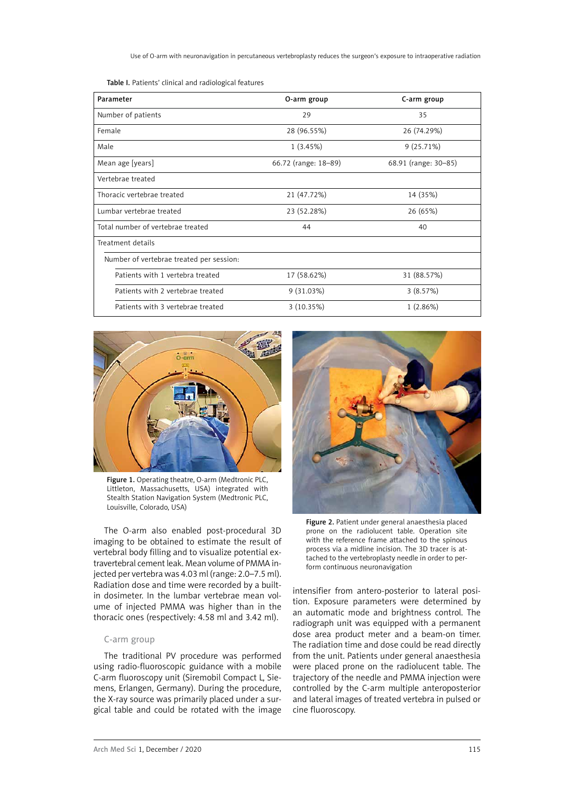Table I. Patients' clinical and radiological features

| Parameter                                | O-arm group          | C-arm group          |
|------------------------------------------|----------------------|----------------------|
| Number of patients                       | 29                   | 35                   |
| Female                                   | 28 (96.55%)          | 26 (74.29%)          |
| Male                                     | 1(3.45%)             | 9(25.71%)            |
| Mean age [years]                         | 66.72 (range: 18-89) | 68.91 (range: 30–85) |
| Vertebrae treated                        |                      |                      |
| Thoracic vertebrae treated               | 21 (47.72%)          | 14 (35%)             |
| Lumbar vertebrae treated                 | 23 (52.28%)          | 26 (65%)             |
| Total number of vertebrae treated        | 44                   | 40                   |
| Treatment details                        |                      |                      |
| Number of vertebrae treated per session: |                      |                      |
| Patients with 1 vertebra treated         | 17 (58.62%)          | 31 (88.57%)          |
| Patients with 2 vertebrae treated        | 9(31.03%)            | 3(8.57%)             |
| Patients with 3 vertebrae treated        | 3 (10.35%)           | 1(2.86%)             |



Figure 1. Operating theatre, O-arm (Medtronic PLC, Littleton, Massachusetts, USA) integrated with Stealth Station Navigation System (Medtronic PLC, Louisville, Colorado, USA)

The O-arm also enabled post-procedural 3D imaging to be obtained to estimate the result of vertebral body filling and to visualize potential extravertebral cement leak. Mean volume of PMMA injected per vertebra was 4.03 ml (range: 2.0–7.5 ml). Radiation dose and time were recorded by a builtin dosimeter. In the lumbar vertebrae mean volume of injected PMMA was higher than in the thoracic ones (respectively: 4.58 ml and 3.42 ml).

#### C-arm group

The traditional PV procedure was performed using radio-fluoroscopic guidance with a mobile C-arm fluoroscopy unit (Siremobil Compact L, Siemens, Erlangen, Germany). During the procedure, the X-ray source was primarily placed under a surgical table and could be rotated with the image



Figure 2. Patient under general anaesthesia placed prone on the radiolucent table. Operation site with the reference frame attached to the spinous process via a midline incision. The 3D tracer is attached to the vertebroplasty needle in order to perform continuous neuronavigation

intensifier from antero-posterior to lateral position. Exposure parameters were determined by an automatic mode and brightness control. The radiograph unit was equipped with a permanent dose area product meter and a beam-on timer. The radiation time and dose could be read directly from the unit. Patients under general anaesthesia were placed prone on the radiolucent table. The trajectory of the needle and PMMA injection were controlled by the C-arm multiple anteroposterior and lateral images of treated vertebra in pulsed or cine fluoroscopy.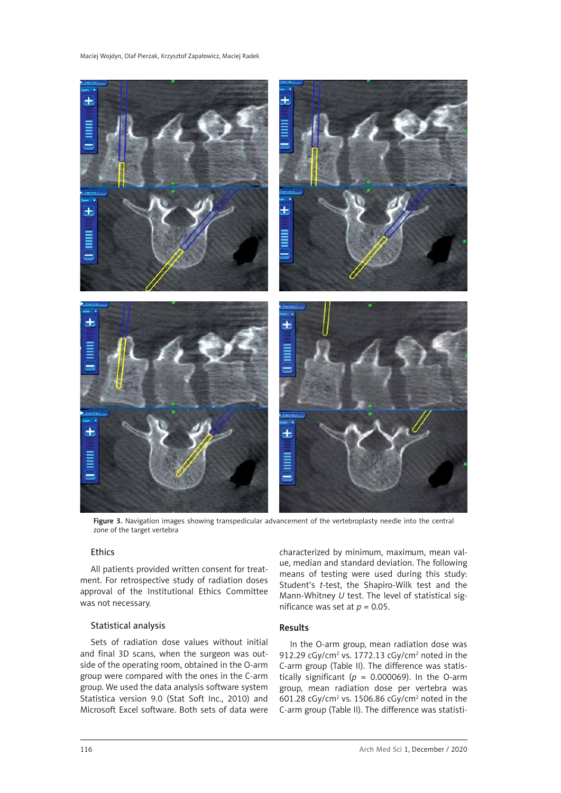

Figure 3. Navigation images showing transpedicular advancement of the vertebroplasty needle into the central zone of the target vertebra

# Ethics

All patients provided written consent for treatment. For retrospective study of radiation doses approval of the Institutional Ethics Committee was not necessary.

## Statistical analysis

Sets of radiation dose values without initial and final 3D scans, when the surgeon was outside of the operating room, obtained in the O-arm group were compared with the ones in the C-arm group. We used the data analysis software system Statistica version 9.0 (Stat Soft Inc., 2010) and Microsoft Excel software. Both sets of data were characterized by minimum, maximum, mean value, median and standard deviation. The following means of testing were used during this study: Student's *t*-test, the Shapiro-Wilk test and the Mann-Whitney *U* test. The level of statistical significance was set at  $p = 0.05$ .

### Results

In the O-arm group, mean radiation dose was 912.29 cGy/cm<sup>2</sup> vs. 1772.13 cGy/cm<sup>2</sup> noted in the C-arm group (Table II). The difference was statistically significant ( $p = 0.000069$ ). In the O-arm group, mean radiation dose per vertebra was  $601.28 \text{ cGy/cm}^2$  vs. 1506.86 cGy/cm<sup>2</sup> noted in the C-arm group (Table II). The difference was statisti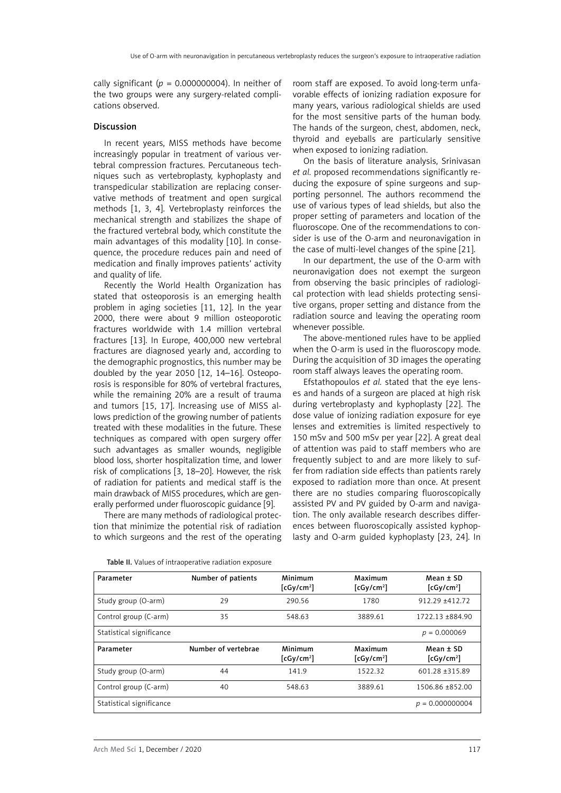cally significant ( $p = 0.000000004$ ). In neither of the two groups were any surgery-related complications observed.

# Discussion

In recent years, MISS methods have become increasingly popular in treatment of various vertebral compression fractures. Percutaneous techniques such as vertebroplasty, kyphoplasty and transpedicular stabilization are replacing conservative methods of treatment and open surgical methods [1, 3, 4]. Vertebroplasty reinforces the mechanical strength and stabilizes the shape of the fractured vertebral body, which constitute the main advantages of this modality [10]. In consequence, the procedure reduces pain and need of medication and finally improves patients' activity and quality of life.

Recently the World Health Organization has stated that osteoporosis is an emerging health problem in aging societies [11, 12]. In the year 2000, there were about 9 million osteoporotic fractures worldwide with 1.4 million vertebral fractures [13]. In Europe, 400,000 new vertebral fractures are diagnosed yearly and, according to the demographic prognostics, this number may be doubled by the year 2050 [12, 14–16]. Osteoporosis is responsible for 80% of vertebral fractures, while the remaining 20% are a result of trauma and tumors [15, 17]. Increasing use of MISS allows prediction of the growing number of patients treated with these modalities in the future. These techniques as compared with open surgery offer such advantages as smaller wounds, negligible blood loss, shorter hospitalization time, and lower risk of complications [3, 18–20]. However, the risk of radiation for patients and medical staff is the main drawback of MISS procedures, which are generally performed under fluoroscopic guidance [9].

There are many methods of radiological protection that minimize the potential risk of radiation to which surgeons and the rest of the operating room staff are exposed. To avoid long-term unfavorable effects of ionizing radiation exposure for many years, various radiological shields are used for the most sensitive parts of the human body. The hands of the surgeon, chest, abdomen, neck, thyroid and eyeballs are particularly sensitive when exposed to ionizing radiation.

On the basis of literature analysis, Srinivasan *et al.* proposed recommendations significantly reducing the exposure of spine surgeons and supporting personnel. The authors recommend the use of various types of lead shields, but also the proper setting of parameters and location of the fluoroscope. One of the recommendations to consider is use of the O-arm and neuronavigation in the case of multi-level changes of the spine [21].

In our department, the use of the O-arm with neuronavigation does not exempt the surgeon from observing the basic principles of radiological protection with lead shields protecting sensitive organs, proper setting and distance from the radiation source and leaving the operating room whenever possible.

The above-mentioned rules have to be applied when the O-arm is used in the fluoroscopy mode. During the acquisition of 3D images the operating room staff always leaves the operating room.

Efstathopoulos *et al.* stated that the eye lenses and hands of a surgeon are placed at high risk during vertebroplasty and kyphoplasty [22]. The dose value of ionizing radiation exposure for eye lenses and extremities is limited respectively to 150 mSv and 500 mSv per year [22]. A great deal of attention was paid to staff members who are frequently subject to and are more likely to suffer from radiation side effects than patients rarely exposed to radiation more than once. At present there are no studies comparing fluoroscopically assisted PV and PV guided by O-arm and navigation. The only available research describes differences between fluoroscopically assisted kyphoplasty and O-arm guided kyphoplasty [23, 24]. In

| Parameter                | Number of patients  | Minimum<br>$[cgy/cm^2]$ | Maximum<br>$[cgy/cm^2]$ | Mean $±$ SD<br>$[cg/cm^2]$    |
|--------------------------|---------------------|-------------------------|-------------------------|-------------------------------|
| Study group (O-arm)      | 29                  | 290.56                  | 1780                    | $912.29 + 412.72$             |
| Control group (C-arm)    | 35                  | 548.63                  | 3889.61                 | 1722.13 +884.90               |
| Statistical significance |                     |                         |                         | $p = 0.000069$                |
| Parameter                | Number of vertebrae | Minimum<br>$[cg/cm^2]$  | Maximum<br>$[cg/cm^2]$  | $Mean \pm SD$<br>$[cgy/cm^2]$ |
| Study group (O-arm)      | 44                  | 141.9                   | 1522.32                 | 601.28 ±315.89                |
| Control group (C-arm)    | 40                  | 548.63                  | 3889.61                 | 1506.86 ±852.00               |
| Statistical significance |                     |                         |                         | $p = 0.000000004$             |

| Table II. Values of intraoperative radiation exposure |
|-------------------------------------------------------|
|-------------------------------------------------------|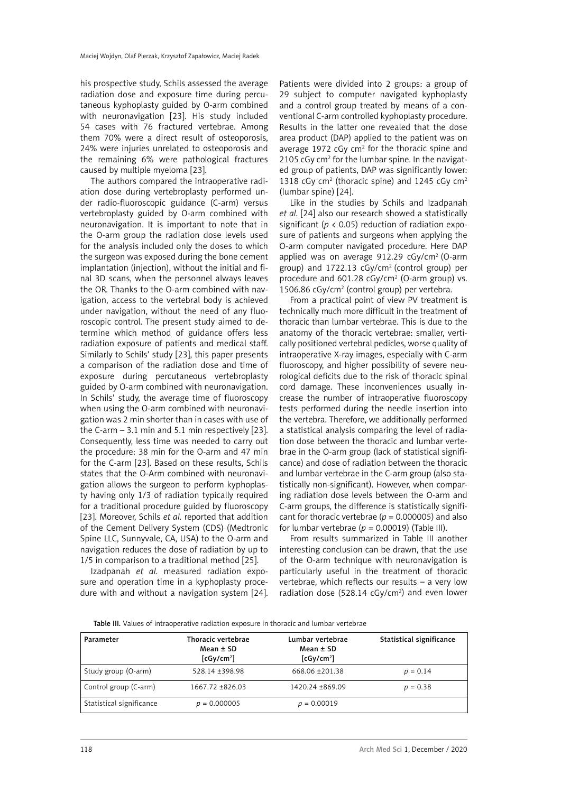his prospective study, Schils assessed the average radiation dose and exposure time during percutaneous kyphoplasty guided by O-arm combined with neuronavigation [23]. His study included 54 cases with 76 fractured vertebrae. Among them 70% were a direct result of osteoporosis, 24% were injuries unrelated to osteoporosis and the remaining 6% were pathological fractures caused by multiple myeloma [23].

The authors compared the intraoperative radiation dose during vertebroplasty performed under radio-fluoroscopic guidance (C-arm) versus vertebroplasty guided by O-arm combined with neuronavigation. It is important to note that in the O-arm group the radiation dose levels used for the analysis included only the doses to which the surgeon was exposed during the bone cement implantation (injection), without the initial and final 3D scans, when the personnel always leaves the OR. Thanks to the O-arm combined with navigation, access to the vertebral body is achieved under navigation, without the need of any fluoroscopic control. The present study aimed to determine which method of guidance offers less radiation exposure of patients and medical staff. Similarly to Schils' study [23], this paper presents a comparison of the radiation dose and time of exposure during percutaneous vertebroplasty guided by O-arm combined with neuronavigation. In Schils' study, the average time of fluoroscopy when using the O-arm combined with neuronavigation was 2 min shorter than in cases with use of the C-arm – 3.1 min and 5.1 min respectively [23]. Consequently, less time was needed to carry out the procedure: 38 min for the O-arm and 47 min for the C-arm [23]. Based on these results, Schils states that the O-Arm combined with neuronavigation allows the surgeon to perform kyphoplasty having only 1/3 of radiation typically required for a traditional procedure guided by fluoroscopy [23]. Moreover, Schils *et al.* reported that addition of the Cement Delivery System (CDS) (Medtronic Spine LLC, Sunnyvale, CA, USA) to the O-arm and navigation reduces the dose of radiation by up to 1/5 in comparison to a traditional method [25].

Izadpanah *et al.* measured radiation exposure and operation time in a kyphoplasty procedure with and without a navigation system [24]. Patients were divided into 2 groups: a group of 29 subject to computer navigated kyphoplasty and a control group treated by means of a conventional C-arm controlled kyphoplasty procedure. Results in the latter one revealed that the dose area product (DAP) applied to the patient was on average 1972  $cGy$  cm<sup>2</sup> for the thoracic spine and 2105 cGy cm<sup>2</sup> for the lumbar spine. In the navigated group of patients, DAP was significantly lower: 1318 cGy cm<sup>2</sup> (thoracic spine) and 1245 cGy cm<sup>2</sup> (lumbar spine) [24].

Like in the studies by Schils and Izadpanah *et al.* [24] also our research showed a statistically significant (*p* < 0.05) reduction of radiation exposure of patients and surgeons when applying the O-arm computer navigated procedure. Here DAP applied was on average 912.29 cGy/cm<sup>2</sup> (O-arm group) and 1722.13 cGy/cm2 (control group) per procedure and  $601.28$  cGy/cm<sup>2</sup> (O-arm group) vs. 1506.86 cGy/cm2 (control group) per vertebra.

From a practical point of view PV treatment is technically much more difficult in the treatment of thoracic than lumbar vertebrae. This is due to the anatomy of the thoracic vertebrae: smaller, vertically positioned vertebral pedicles, worse quality of intraoperative X-ray images, especially with C-arm fluoroscopy, and higher possibility of severe neurological deficits due to the risk of thoracic spinal cord damage. These inconveniences usually increase the number of intraoperative fluoroscopy tests performed during the needle insertion into the vertebra. Therefore, we additionally performed a statistical analysis comparing the level of radiation dose between the thoracic and lumbar vertebrae in the O-arm group (lack of statistical significance) and dose of radiation between the thoracic and lumbar vertebrae in the C-arm group (also statistically non-significant). However, when comparing radiation dose levels between the O-arm and C-arm groups, the difference is statistically significant for thoracic vertebrae ( $p = 0.000005$ ) and also for lumbar vertebrae ( $p = 0.00019$ ) (Table III).

From results summarized in Table III another interesting conclusion can be drawn, that the use of the O-arm technique with neuronavigation is particularly useful in the treatment of thoracic vertebrae, which reflects our results – a very low radiation dose  $(528.14 \text{ cGy/cm}^2)$  and even lower

Table III. Values of intraoperative radiation exposure in thoracic and lumbar vertebrae

| Parameter                | Thoracic vertebrae<br>Mean $±$ SD<br>$[cgy/cm^2]$ | Lumbar vertebrae<br>Mean ± SD<br>$[cg/cm^2]$ | Statistical significance |
|--------------------------|---------------------------------------------------|----------------------------------------------|--------------------------|
| Study group (O-arm)      | 528.14 + 398.98                                   | 668.06 ±201.38                               | $p = 0.14$               |
| Control group (C-arm)    | 1667.72 +826.03                                   | 1420.24 +869.09                              | $p = 0.38$               |
| Statistical significance | $p = 0.000005$                                    | $p = 0.00019$                                |                          |